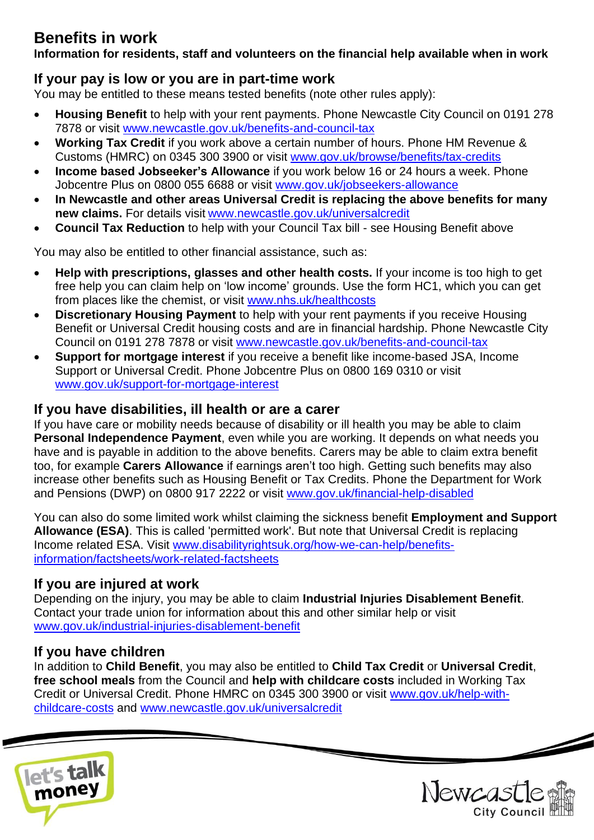# **Benefits in work**

**Information for residents, staff and volunteers on the financial help available when in work**

# **If your pay is low or you are in part-time work**

You may be entitled to these means tested benefits (note other rules apply):

- **Housing Benefit** to help with your rent payments. Phone Newcastle City Council on 0191 278 7878 or visit [www.newcastle.gov.uk/benefits-and-council-tax](http://www.newcastle.gov.uk/benefits-and-council-tax)
- **Working Tax Credit** if you work above a certain number of hours. Phone HM Revenue & Customs (HMRC) on 0345 300 3900 or visit [www.gov.uk/browse/benefits/tax-credits](http://www.gov.uk/browse/benefits/tax-credits)
- **Income based Jobseeker's Allowance** if you work below 16 or 24 hours a week. Phone Jobcentre Plus on 0800 055 6688 or visit [www.gov.uk/jobseekers-allowance](http://www.gov.uk/jobseekers-allowance)
- **In Newcastle and other areas Universal Credit is replacing the above benefits for many new claims.** For details visit [www.newcastle.gov.uk/universalcredit](http://www.newcastle.gov.uk/universalcredit)
- **Council Tax Reduction** to help with your Council Tax bill see Housing Benefit above

You may also be entitled to other financial assistance, such as:

- **Help with prescriptions, glasses and other health costs.** If your income is too high to get free help you can claim help on 'low income' grounds. Use the form HC1, which you can get from places like the chemist, or visit [www.nhs.uk/healthcosts](http://www.nhs.uk/healthcosts)
- **Discretionary Housing Payment** to help with your rent payments if you receive Housing Benefit or Universal Credit housing costs and are in financial hardship. Phone Newcastle City Council on 0191 278 7878 or visit [www.newcastle.gov.uk/benefits-and-council-tax](http://www.newcastle.gov.uk/benefits-and-council-tax)
- **Support for mortgage interest** if you receive a benefit like income-based JSA, Income Support or Universal Credit. Phone Jobcentre Plus on 0800 169 0310 or visit [www.gov.uk/support-for-mortgage-interest](http://www.gov.uk/support-for-mortgage-interest)

# **If you have disabilities, ill health or are a carer**

If you have care or mobility needs because of disability or ill health you may be able to claim **Personal Independence Payment**, even while you are working. It depends on what needs you have and is payable in addition to the above benefits. Carers may be able to claim extra benefit too, for example **Carers Allowance** if earnings aren't too high. Getting such benefits may also increase other benefits such as Housing Benefit or Tax Credits. Phone the Department for Work and Pensions (DWP) on 0800 917 2222 or visit [www.gov.uk/financial-help-disabled](http://www.gov.uk/financial-help-disabled)

You can also do some limited work whilst claiming the sickness benefit **Employment and Support Allowance (ESA)**. This is called 'permitted work'. But note that Universal Credit is replacing Income related ESA. Visit [www.disabilityrightsuk.org/how-we-can-help/benefits](www.disabilityrightsuk.org/how-we-can-help/benefits-information/factsheets/work-related-factsheets)[information/factsheets/work-related-factsheets](www.disabilityrightsuk.org/how-we-can-help/benefits-information/factsheets/work-related-factsheets)

# **If you are injured at work**

Depending on the injury, you may be able to claim **Industrial Injuries Disablement Benefit**. Contact your trade union for information about this and other similar help or visit [www.gov.uk/industrial-injuries-disablement-benefit](http://www.gov.uk/industrial-injuries-disablement-benefit)

### **If you have children**

In addition to **Child Benefit**, you may also be entitled to **Child Tax Credit** or **Universal Credit**, **free school meals** from the Council and **help with childcare costs** included in Working Tax Credit or Universal Credit. Phone HMRC on 0345 300 3900 or visit [www.gov.uk/help-with](http://www.gov.uk/help-with-childcare-costs)[childcare-costs](http://www.gov.uk/help-with-childcare-costs) and [www.newcastle.gov.uk/universalcredit](http://www.newcastle.gov.uk/universalcredit)





 $\overline{\phantom{a}}$